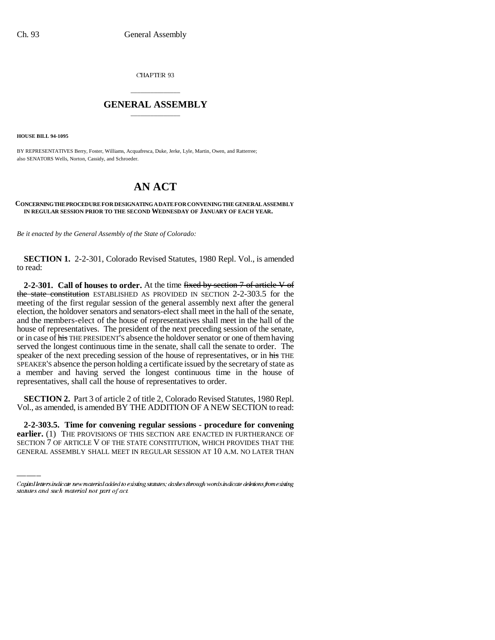CHAPTER 93

## \_\_\_\_\_\_\_\_\_\_\_\_\_\_\_ **GENERAL ASSEMBLY** \_\_\_\_\_\_\_\_\_\_\_\_\_\_\_

**HOUSE BILL 94-1095**

BY REPRESENTATIVES Berry, Foster, Williams, Acquafresca, Duke, Jerke, Lyle, Martin, Owen, and Ratterree; also SENATORS Wells, Norton, Cassidy, and Schroeder.

## **AN ACT**

## **CONCERNING THE PROCEDURE FOR DESIGNATING A DATE FOR CONVENING THE GENERAL ASSEMBLY IN REGULAR SESSION PRIOR TO THE SECOND WEDNESDAY OF JANUARY OF EACH YEAR.**

*Be it enacted by the General Assembly of the State of Colorado:*

**SECTION 1.** 2-2-301, Colorado Revised Statutes, 1980 Repl. Vol., is amended to read:

**2-2-301. Call of houses to order.** At the time fixed by section 7 of article V of the state constitution ESTABLISHED AS PROVIDED IN SECTION 2-2-303.5 for the meeting of the first regular session of the general assembly next after the general election, the holdover senators and senators-elect shall meet in the hall of the senate, and the members-elect of the house of representatives shall meet in the hall of the house of representatives. The president of the next preceding session of the senate, or in case of his THE PRESIDENT'S absence the holdover senator or one of them having served the longest continuous time in the senate, shall call the senate to order. The speaker of the next preceding session of the house of representatives, or in his THE SPEAKER'S absence the person holding a certificate issued by the secretary of state as a member and having served the longest continuous time in the house of representatives, shall call the house of representatives to order.

 **SECTION 2.** Part 3 of article 2 of title 2, Colorado Revised Statutes, 1980 Repl. Vol., as amended, is amended BY THE ADDITION OF A NEW SECTION to read:

**2-2-303.5. Time for convening regular sessions - procedure for convening earlier.** (1) THE PROVISIONS OF THIS SECTION ARE ENACTED IN FURTHERANCE OF SECTION 7 OF ARTICLE V OF THE STATE CONSTITUTION, WHICH PROVIDES THAT THE GENERAL ASSEMBLY SHALL MEET IN REGULAR SESSION AT 10 A.M. NO LATER THAN

Capital letters indicate new material added to existing statutes; dashes through words indicate deletions from existing statutes and such material not part of act.